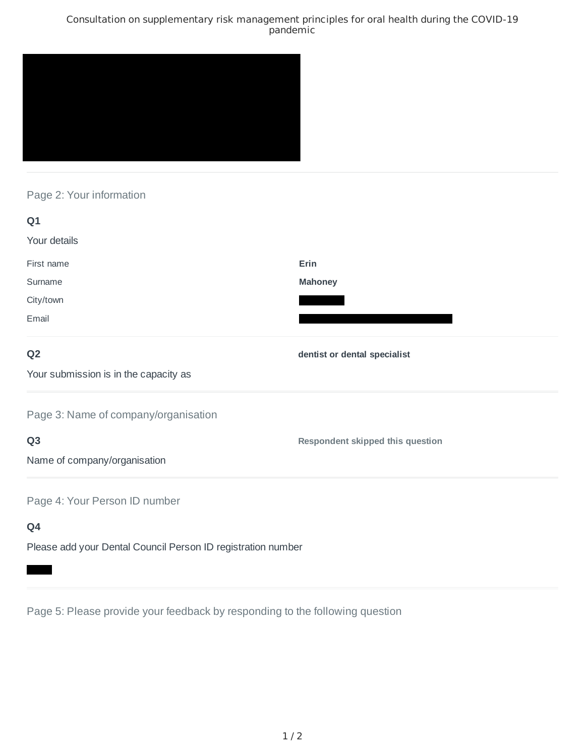## Consultation on supplementary risk management principles for oral health during the COVID-19 pandemic



# Page 2: Your information

| Q1                                                           |                                         |
|--------------------------------------------------------------|-----------------------------------------|
| Your details                                                 |                                         |
| First name                                                   | Erin                                    |
| Surname                                                      | <b>Mahoney</b>                          |
| City/town                                                    |                                         |
| Email                                                        |                                         |
| Q <sub>2</sub>                                               | dentist or dental specialist            |
| Your submission is in the capacity as                        |                                         |
| Page 3: Name of company/organisation                         |                                         |
| Q <sub>3</sub>                                               | <b>Respondent skipped this question</b> |
| Name of company/organisation                                 |                                         |
| Page 4: Your Person ID number                                |                                         |
| Q4                                                           |                                         |
| Please add your Dental Council Person ID registration number |                                         |

Page 5: Please provide your feedback by responding to the following question